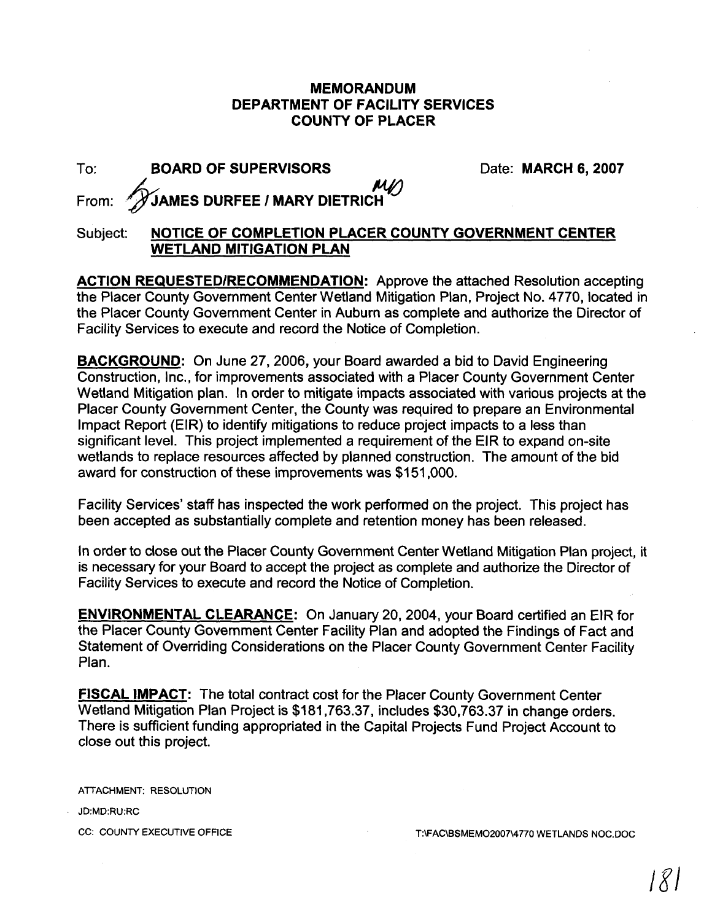#### **MEMORANDUM DEPARTMENT OF FACILITY SERVICES COUNTY OF PLACER**

# To: **BOARD OF SUPERVISORS** Date: **MARCH 6, 2007 w** From: **.&AMES DURFEE** I **MARY DIETRICH**

### Subject: **NOTICE OF COMPLETION PLACER COUNTY GOVERNMENT CENTER WETLAND MITIGATION PLAN**

**ACTION REQUESTED/RECOMMENDATION:** Approve the attached Resolution accepting the Placer County Government Center Wetland Mitigation Plan, Project No. 4770, located in the Placer County Government Center in Auburn as complete and authorize the Director of Facility Services to execute and record the Notice of Completion.

**BACKGROUND:** On June 27, 2006, your Board awarded a bid to David Engineering Construction, Inc., for improvements associated with a Placer County Government Center Wetland Mitigation plan. In order to mitigate impacts associated with various projects at the Placer County Government Center, the County was required to prepare an Environmental Impact Report (EIR) to identify mitigations to reduce project impacts to a less than significant level. This project implemented a requirement of the EIR to expand on-site wetlands to replace resources affected by planned construction. The amount of the bid award for construction of these improvements was \$151,000.

Facility Services' staff has inspected the work performed on the project. This project has been accepted as substantially complete and retention money has been released.

In order to close out the Placer County Government Center Wetland Mitigation Plan project, it is necessary for your Board to accept the project as complete and authorize the Director of Facility Services to execute and record the Notice of Completion.

**ENVIRONMENTAL CLEARANCE:** On January 20,2004, your Board certified an EIR for the Placer County Government Center Facility Plan and adopted the Findings of Fact and Statement of Overriding Considerations on the Placer County Government Center Facility Plan.

**FISCAL IMPACT:** The total contract cost for the Placer County Government Center Wetland Mitigation Plan Project is \$181,763.37, includes \$30,763.37 in change orders. There is sufficient funding appropriated in the Capital Projects Fund Project Account to close out this project.

ATTACHMENT: RESOLUTION

JD:MD:RU:RC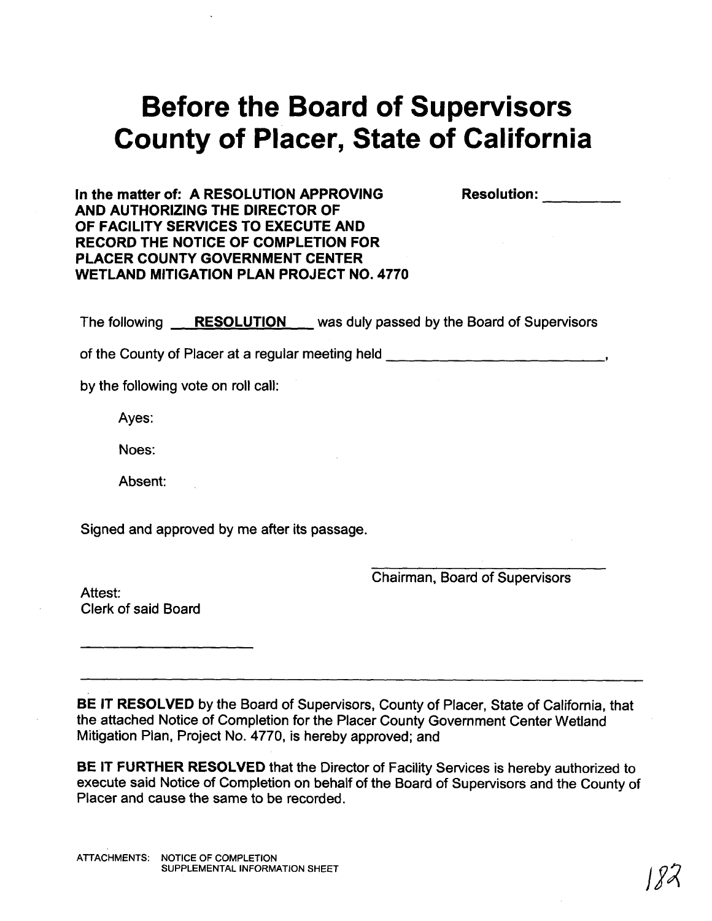## **Before the Board of Supervisors County of Placer, State of California**

**In the matter of: A RESOLUTION APPROVING Resolution: AND AUTHORIZING THE DIRECTOR OF OF FACILITY SERVICES TO EXECUTE AND RECORD THE NOTICE OF COMPLETION FOR PLACER COUNTY GOVERNMENT CENTER WETLAND MITIGATION PLAN PROJECT NO. 4770** 

The following **RESOLUTION** was duly passed by the Board of Supervisors

of the County of Placer at a regular meeting held **<sup>I</sup>**

by the following vote on roll call:

Ayes:

Noes:

Absent:

Signed and approved by me after its passage.

Chairman, Board of Supervisors

Attest: Clerk of said Board

**BE IT RESOLVED** by the Board of Supervisors, County of Placer, State of California, that the attached Notice of Completion for the Placer County Government Center Wetland Mitigation Plan, Project No. 4770, is hereby approved; and

**BE IT FURTHER RESOLVED** that the Director of Facility Services is hereby authorized to execute said Notice of Completion on behalf of the Board of Supervisors and the County of Placer and cause the same to be recorded.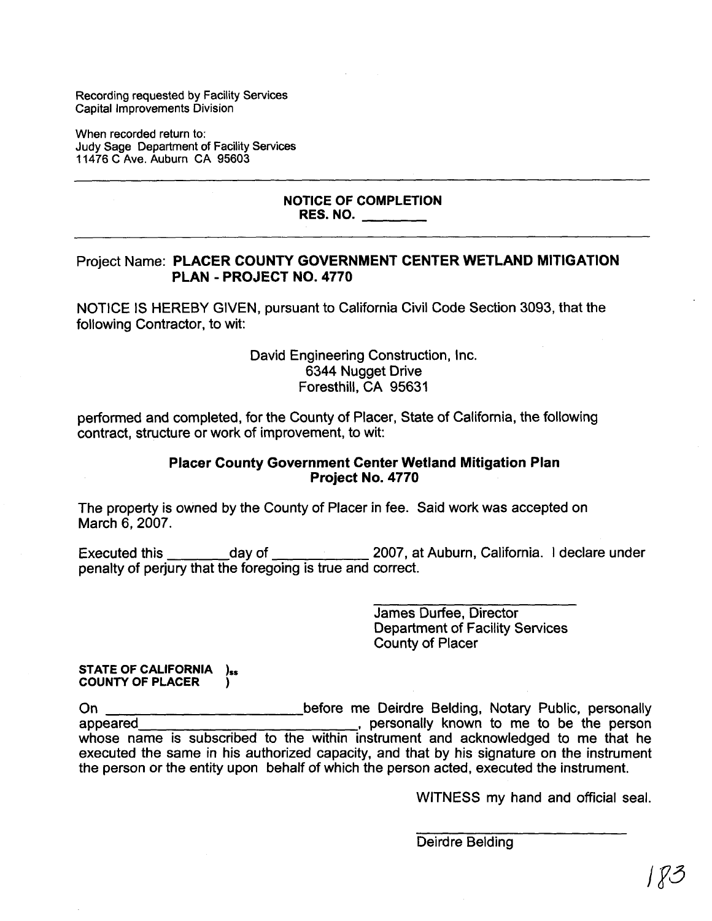Recording requested by Facility Services Capital Improvements Division

When recorded return to: Judy Sage Department of Facility Services 11476 C Ave. Auburn CA 95603

#### **NOTICE OF COMPLETION RES. NO.**

#### Project Name: **PLACER COUNTY GOVERNMENT CENTER WETLAND MITIGATION PLAN** - **PROJECT NO. 4770**

NOTICE IS HEREBY GIVEN, pursuant to California Civil Code Section 3093, that the following Contractor, to wit:

#### David Engineering Construction, Inc. 6344 Nugget Drive Foresthill, CA 95631

performed and completed, for the County of Placer, State of California, the following contract, structure or work of improvement, to wit:

#### **Placer County Government Center Wetland Mitigation Plan Project No. 4770**

The property is owned by the County of Placer in fee. Said work was accepted on March 6,2007.

Executed this \_\_\_\_\_\_\_\_day of \_\_\_\_\_\_\_\_\_\_\_\_\_\_\_\_ 2007, at Auburn, California. I declare under penalty of perjury that the foregoing is true and correct.

> James Durfee, Director Department of Facility Services County of Placer

**STATE OF CALIFORNIA**  $)_{ss}$ **COUNTY OF PLACER** )

On **before me Deirdre Belding, Notary Public, personally** appeared , personally known to me to be the person whose name is subscribed to the within instrument and acknowledged to me that he executed the same in his authorized capacity, and that by his signature on the instrument the person or the entity upon behalf of which the person acted, executed the instrument.

WITNESS my hand and official seal.

Deirdre Belding